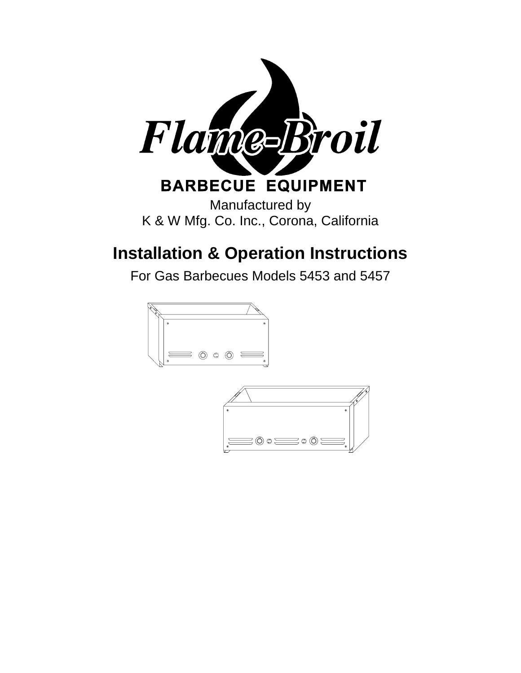

# **Installation & Operation Instructions**

For Gas Barbecues Models 5453 and 5457



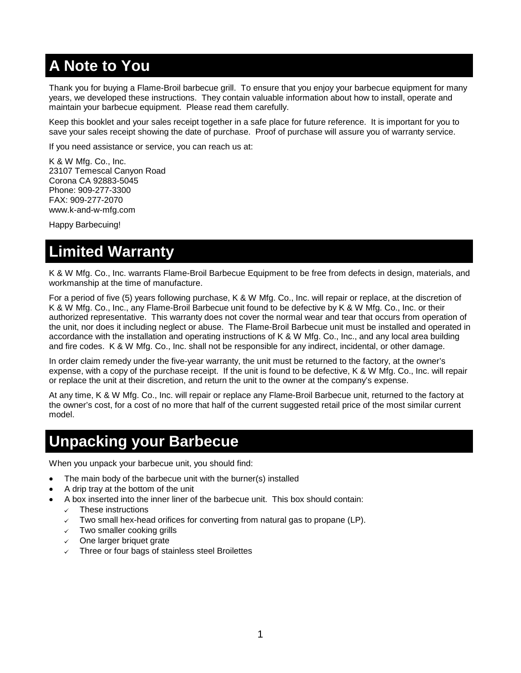## **A Note to You**

Thank you for buying a Flame-Broil barbecue grill. To ensure that you enjoy your barbecue equipment for many years, we developed these instructions. They contain valuable information about how to install, operate and maintain your barbecue equipment. Please read them carefully.

Keep this booklet and your sales receipt together in a safe place for future reference. It is important for you to save your sales receipt showing the date of purchase. Proof of purchase will assure you of warranty service.

If you need assistance or service, you can reach us at:

K & W Mfg. Co., Inc. 23107 Temescal Canyon Road Corona CA 92883-5045 Phone: 909-277-3300 FAX: 909-277-2070 www.k-and-w-mfg.com

Happy Barbecuing!

## **Limited Warranty**

K & W Mfg. Co., Inc. warrants Flame-Broil Barbecue Equipment to be free from defects in design, materials, and workmanship at the time of manufacture.

For a period of five (5) years following purchase, K & W Mfg. Co., Inc. will repair or replace, at the discretion of K & W Mfg. Co., Inc., any Flame-Broil Barbecue unit found to be defective by K & W Mfg. Co., Inc. or their authorized representative. This warranty does not cover the normal wear and tear that occurs from operation of the unit, nor does it including neglect or abuse. The Flame-Broil Barbecue unit must be installed and operated in accordance with the installation and operating instructions of K & W Mfg. Co., Inc., and any local area building and fire codes. K & W Mfg. Co., Inc. shall not be responsible for any indirect, incidental, or other damage.

In order claim remedy under the five-year warranty, the unit must be returned to the factory, at the owner's expense, with a copy of the purchase receipt. If the unit is found to be defective, K & W Mfg. Co., Inc. will repair or replace the unit at their discretion, and return the unit to the owner at the company's expense.

At any time, K & W Mfg. Co., Inc. will repair or replace any Flame-Broil Barbecue unit, returned to the factory at the owner's cost, for a cost of no more that half of the current suggested retail price of the most similar current model.

## **Unpacking your Barbecue**

When you unpack your barbecue unit, you should find:

- The main body of the barbecue unit with the burner(s) installed
- A drip tray at the bottom of the unit
- A box inserted into the inner liner of the barbecue unit. This box should contain:
	- These instructions
	- $\checkmark$  Two small hex-head orifices for converting from natural gas to propane (LP).
	- $\sqrt{ }$  Two smaller cooking grills
	- $\checkmark$  One larger briquet grate
	- Three or four bags of stainless steel Broilettes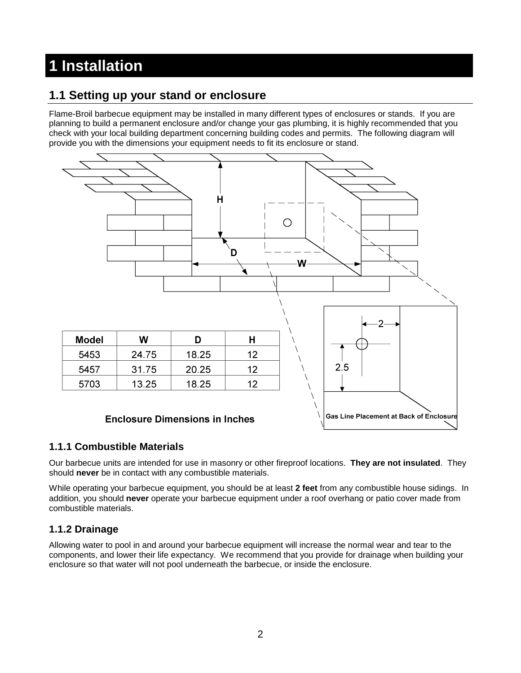# **1 Installation**

#### **1.1 Setting up your stand or enclosure**

Flame-Broil barbecue equipment may be installed in many different types of enclosures or stands. If you are planning to build a permanent enclosure and/or change your gas plumbing, it is highly recommended that you check with your local building department concerning building codes and permits. The following diagram will provide you with the dimensions your equipment needs to fit its enclosure or stand.



#### **1.1.1 Combustible Materials**

Our barbecue units are intended for use in masonry or other fireproof locations. **They are not insulated**. They should **never** be in contact with any combustible materials.

While operating your barbecue equipment, you should be at least **2 feet** from any combustible house sidings. In addition, you should **never** operate your barbecue equipment under a roof overhang or patio cover made from combustible materials.

#### **1.1.2 Drainage**

Allowing water to pool in and around your barbecue equipment will increase the normal wear and tear to the components, and lower their life expectancy. We recommend that you provide for drainage when building your enclosure so that water will not pool underneath the barbecue, or inside the enclosure.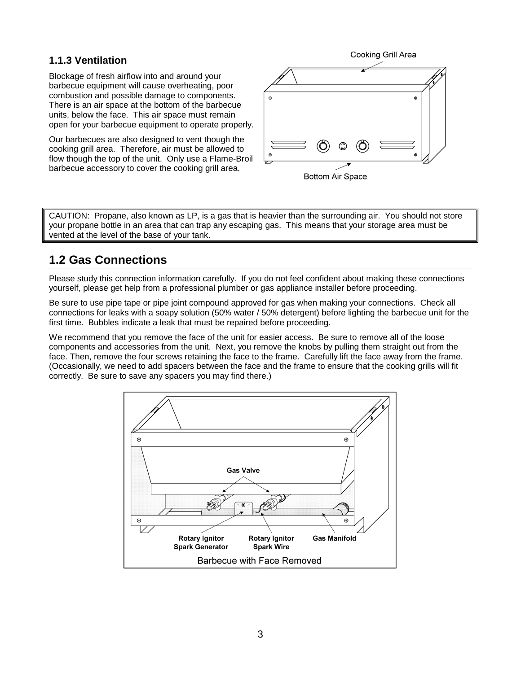#### **1.1.3 Ventilation**

Blockage of fresh airflow into and around your barbecue equipment will cause overheating, poor combustion and possible damage to components. There is an air space at the bottom of the barbecue units, below the face. This air space must remain open for your barbecue equipment to operate properly.

Our barbecues are also designed to vent though the cooking grill area. Therefore, air must be allowed to flow though the top of the unit. Only use a Flame-Broil barbecue accessory to cover the cooking grill area.





CAUTION: Propane, also known as LP, is a gas that is heavier than the surrounding air. You should not store your propane bottle in an area that can trap any escaping gas. This means that your storage area must be vented at the level of the base of your tank.

### **1.2 Gas Connections**

Please study this connection information carefully. If you do not feel confident about making these connections yourself, please get help from a professional plumber or gas appliance installer before proceeding.

Be sure to use pipe tape or pipe joint compound approved for gas when making your connections. Check all connections for leaks with a soapy solution (50% water / 50% detergent) before lighting the barbecue unit for the first time. Bubbles indicate a leak that must be repaired before proceeding.

We recommend that you remove the face of the unit for easier access. Be sure to remove all of the loose components and accessories from the unit. Next, you remove the knobs by pulling them straight out from the face. Then, remove the four screws retaining the face to the frame. Carefully lift the face away from the frame. (Occasionally, we need to add spacers between the face and the frame to ensure that the cooking grills will fit correctly. Be sure to save any spacers you may find there.)

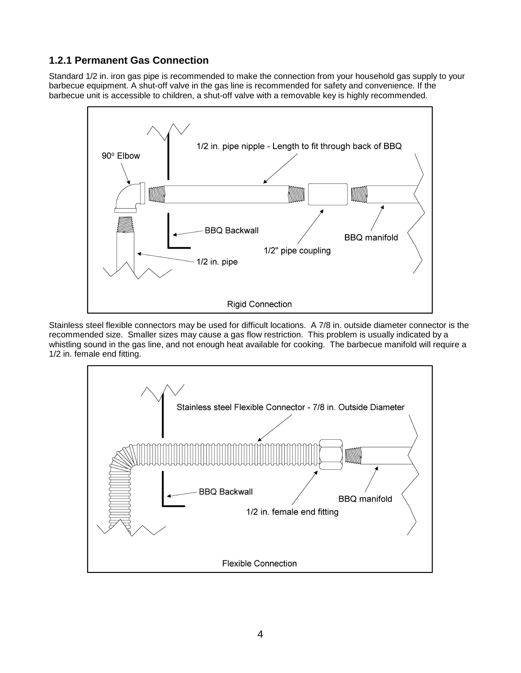#### **1.2.1 Permanent Gas Connection**

Standard 1/2 in. iron gas pipe is recommended to make the connection from your household gas supply to your barbecue equipment. A shut-off valve in the gas line is recommended for safety and convenience. If the barbecue unit is accessible to children, a shut-off valve with a removable key is highly recommended.



Stainless steel flexible connectors may be used for difficult locations. A 7/8 in. outside diameter connector is the recommended size. Smaller sizes may cause a gas flow restriction. This problem is usually indicated by a whistling sound in the gas line, and not enough heat available for cooking. The barbecue manifold will require a 1/2 in. female end fitting.

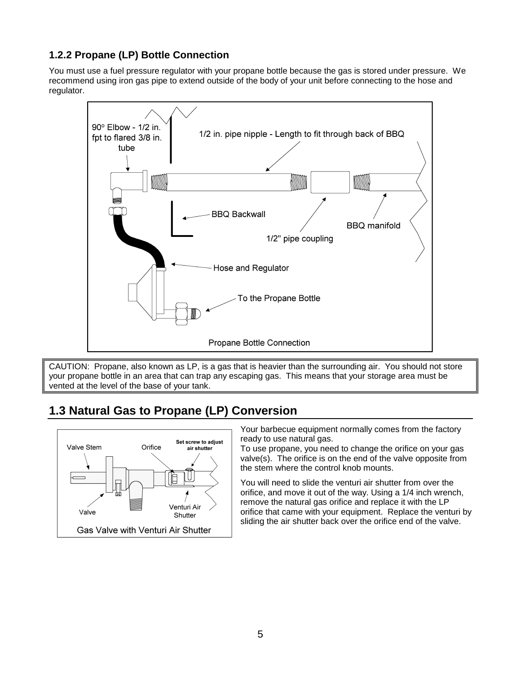#### **1.2.2 Propane (LP) Bottle Connection**

You must use a fuel pressure regulator with your propane bottle because the gas is stored under pressure. We recommend using iron gas pipe to extend outside of the body of your unit before connecting to the hose and regulator.



CAUTION: Propane, also known as LP, is a gas that is heavier than the surrounding air. You should not store your propane bottle in an area that can trap any escaping gas. This means that your storage area must be vented at the level of the base of your tank.

## **1.3 Natural Gas to Propane (LP) Conversion**



Your barbecue equipment normally comes from the factory ready to use natural gas.

To use propane, you need to change the orifice on your gas valve(s). The orifice is on the end of the valve opposite from the stem where the control knob mounts.

You will need to slide the venturi air shutter from over the orifice, and move it out of the way. Using a 1/4 inch wrench, remove the natural gas orifice and replace it with the LP orifice that came with your equipment. Replace the venturi by sliding the air shutter back over the orifice end of the valve.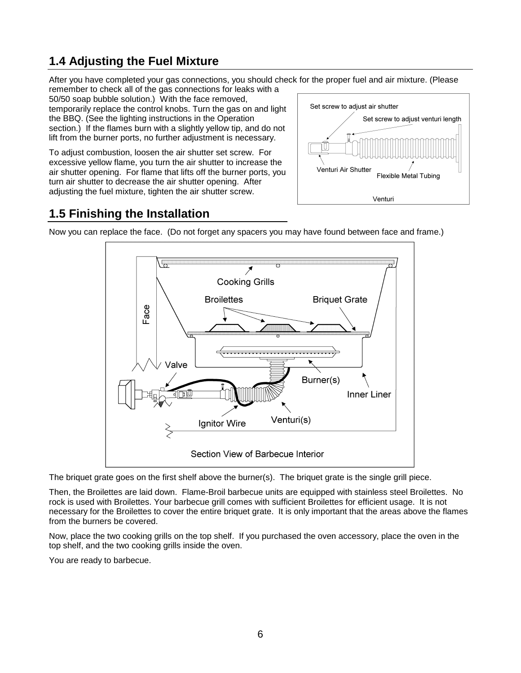## **1.4 Adjusting the Fuel Mixture**

After you have completed your gas connections, you should check for the proper fuel and air mixture. (Please

remember to check all of the gas connections for leaks with a 50/50 soap bubble solution.) With the face removed, temporarily replace the control knobs. Turn the gas on and light the BBQ. (See the lighting instructions in the Operation section.) If the flames burn with a slightly yellow tip, and do not lift from the burner ports, no further adjustment is necessary.

To adjust combustion, loosen the air shutter set screw. For excessive yellow flame, you turn the air shutter to increase the air shutter opening. For flame that lifts off the burner ports, you turn air shutter to decrease the air shutter opening. After adjusting the fuel mixture, tighten the air shutter screw.



### **1.5 Finishing the Installation**





The briquet grate goes on the first shelf above the burner(s). The briquet grate is the single grill piece.

Then, the Broilettes are laid down. Flame-Broil barbecue units are equipped with stainless steel Broilettes. No rock is used with Broilettes. Your barbecue grill comes with sufficient Broilettes for efficient usage. It is not necessary for the Broilettes to cover the entire briquet grate. It is only important that the areas above the flames from the burners be covered.

Now, place the two cooking grills on the top shelf. If you purchased the oven accessory, place the oven in the top shelf, and the two cooking grills inside the oven.

You are ready to barbecue.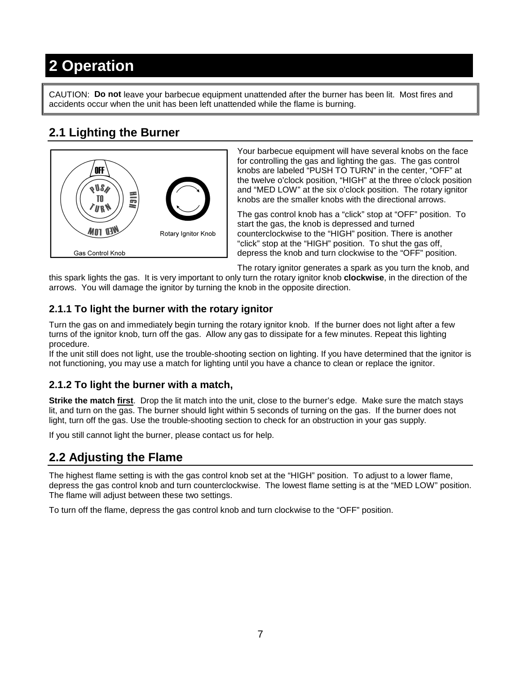# **2 Operation**

CAUTION: **Do not** leave your barbecue equipment unattended after the burner has been lit. Most fires and accidents occur when the unit has been left unattended while the flame is burning.

## **2.1 Lighting the Burner**



Your barbecue equipment will have several knobs on the face for controlling the gas and lighting the gas. The gas control knobs are labeled "PUSH TO TURN" in the center, "OFF" at the twelve o'clock position, "HIGH" at the three o'clock position and "MED LOW" at the six o'clock position. The rotary ignitor knobs are the smaller knobs with the directional arrows.

The gas control knob has a "click" stop at "OFF" position. To start the gas, the knob is depressed and turned counterclockwise to the "HIGH" position. There is another "click" stop at the "HIGH" position. To shut the gas off, depress the knob and turn clockwise to the "OFF" position.

The rotary ignitor generates a spark as you turn the knob, and

this spark lights the gas. It is very important to only turn the rotary ignitor knob **clockwise**, in the direction of the arrows. You will damage the ignitor by turning the knob in the opposite direction.

#### **2.1.1 To light the burner with the rotary ignitor**

Turn the gas on and immediately begin turning the rotary ignitor knob. If the burner does not light after a few turns of the ignitor knob, turn off the gas. Allow any gas to dissipate for a few minutes. Repeat this lighting procedure.

If the unit still does not light, use the trouble-shooting section on lighting. If you have determined that the ignitor is not functioning, you may use a match for lighting until you have a chance to clean or replace the ignitor.

#### **2.1.2 To light the burner with a match,**

**Strike the match first**. Drop the lit match into the unit, close to the burner's edge. Make sure the match stays lit, and turn on the gas. The burner should light within 5 seconds of turning on the gas. If the burner does not light, turn off the gas. Use the trouble-shooting section to check for an obstruction in your gas supply.

If you still cannot light the burner, please contact us for help.

### **2.2 Adjusting the Flame**

The highest flame setting is with the gas control knob set at the "HIGH" position. To adjust to a lower flame, depress the gas control knob and turn counterclockwise. The lowest flame setting is at the "MED LOW" position. The flame will adjust between these two settings.

To turn off the flame, depress the gas control knob and turn clockwise to the "OFF" position.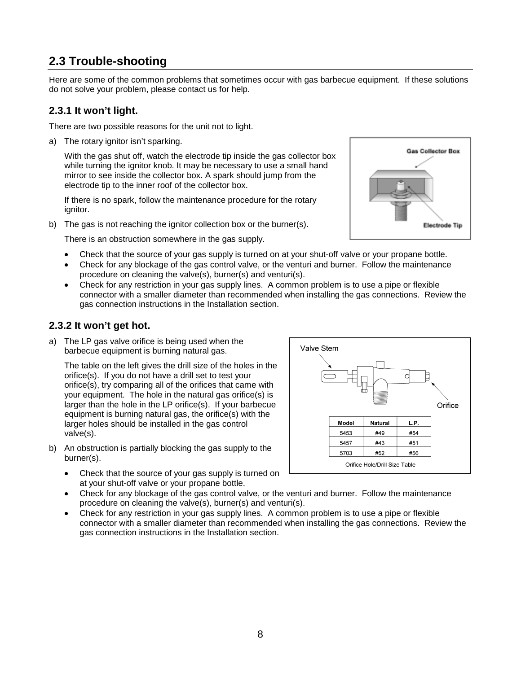### **2.3 Trouble-shooting**

Here are some of the common problems that sometimes occur with gas barbecue equipment. If these solutions do not solve your problem, please contact us for help.

#### **2.3.1 It won't light.**

There are two possible reasons for the unit not to light.

a) The rotary ignitor isn't sparking.

With the gas shut off, watch the electrode tip inside the gas collector box while turning the ignitor knob. It may be necessary to use a small hand mirror to see inside the collector box. A spark should jump from the electrode tip to the inner roof of the collector box.

If there is no spark, follow the maintenance procedure for the rotary ignitor.

b) The gas is not reaching the ignitor collection box or the burner(s).

There is an obstruction somewhere in the gas supply.

- Check that the source of your gas supply is turned on at your shut-off valve or your propane bottle.
- Check for any blockage of the gas control valve, or the venturi and burner. Follow the maintenance procedure on cleaning the valve(s), burner(s) and venturi(s).
- Check for any restriction in your gas supply lines. A common problem is to use a pipe or flexible connector with a smaller diameter than recommended when installing the gas connections. Review the gas connection instructions in the Installation section.

#### **2.3.2 It won't get hot.**

a) The LP gas valve orifice is being used when the barbecue equipment is burning natural gas.

The table on the left gives the drill size of the holes in the orifice(s). If you do not have a drill set to test your orifice(s), try comparing all of the orifices that came with your equipment. The hole in the natural gas orifice(s) is larger than the hole in the LP orifice(s). If your barbecue equipment is burning natural gas, the orifice(s) with the larger holes should be installed in the gas control valve(s).

- b) An obstruction is partially blocking the gas supply to the burner(s).
	- Check that the source of your gas supply is turned on at your shut-off valve or your propane bottle.
	- Check for any blockage of the gas control valve, or the venturi and burner. Follow the maintenance procedure on cleaning the valve(s), burner(s) and venturi(s).
	- Check for any restriction in your gas supply lines. A common problem is to use a pipe or flexible connector with a smaller diameter than recommended when installing the gas connections. Review the gas connection instructions in the Installation section.



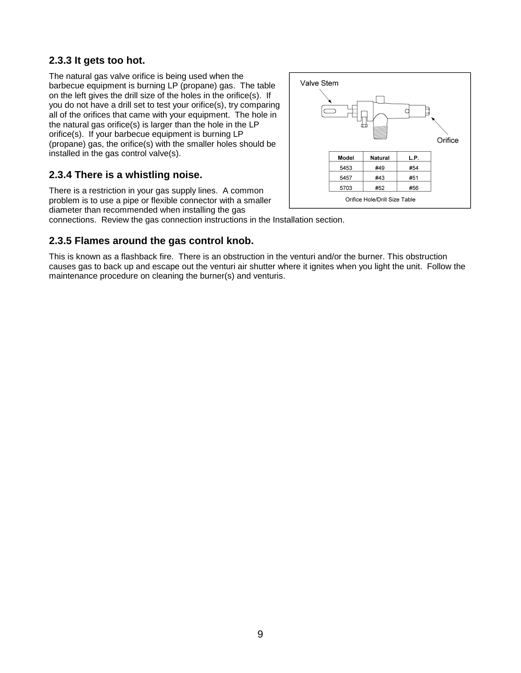#### **2.3.3 It gets too hot.**

The natural gas valve orifice is being used when the barbecue equipment is burning LP (propane) gas. The table on the left gives the drill size of the holes in the orifice(s). If you do not have a drill set to test your orifice(s), try comparing all of the orifices that came with your equipment. The hole in the natural gas orifice(s) is larger than the hole in the LP orifice(s). If your barbecue equipment is burning LP (propane) gas, the orifice(s) with the smaller holes should be installed in the gas control valve(s).

#### **2.3.4 There is a whistling noise.**

There is a restriction in your gas supply lines. A common problem is to use a pipe or flexible connector with a smaller diameter than recommended when installing the gas



connections. Review the gas connection instructions in the Installation section.

#### **2.3.5 Flames around the gas control knob.**

This is known as a flashback fire. There is an obstruction in the venturi and/or the burner. This obstruction causes gas to back up and escape out the venturi air shutter where it ignites when you light the unit. Follow the maintenance procedure on cleaning the burner(s) and venturis.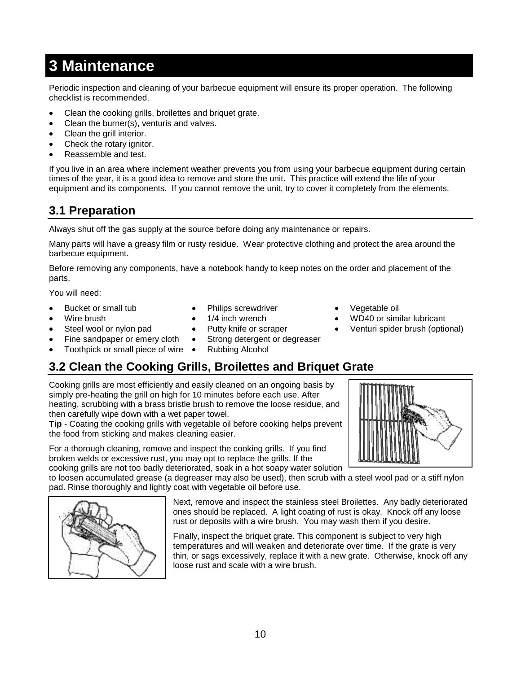## **3 Maintenance**

Periodic inspection and cleaning of your barbecue equipment will ensure its proper operation. The following checklist is recommended.

- Clean the cooking grills, broilettes and briquet grate.
- Clean the burner(s), venturis and valves.
- Clean the grill interior.
- Check the rotary ignitor.
- Reassemble and test.

If you live in an area where inclement weather prevents you from using your barbecue equipment during certain times of the year, it is a good idea to remove and store the unit. This practice will extend the life of your equipment and its components. If you cannot remove the unit, try to cover it completely from the elements.

## **3.1 Preparation**

Always shut off the gas supply at the source before doing any maintenance or repairs.

Many parts will have a greasy film or rusty residue. Wear protective clothing and protect the area around the barbecue equipment.

Before removing any components, have a notebook handy to keep notes on the order and placement of the parts.

You will need:

- Bucket or small tub
- Wire brush
- Steel wool or nylon pad

Fine sandpaper or emery cloth

- Philips screwdriver 1/4 inch wrench
- 
- Putty knife or scraper
- Strong detergent or degreaser
- Toothpick or small piece of wire  $\bullet$ Rubbing Alcohol

## **3.2 Clean the Cooking Grills, Broilettes and Briquet Grate**

Cooking grills are most efficiently and easily cleaned on an ongoing basis by simply pre-heating the grill on high for 10 minutes before each use. After heating, scrubbing with a brass bristle brush to remove the loose residue, and then carefully wipe down with a wet paper towel.

**Tip** - Coating the cooking grills with vegetable oil before cooking helps prevent the food from sticking and makes cleaning easier.

For a thorough cleaning, remove and inspect the cooking grills. If you find broken welds or excessive rust, you may opt to replace the grills. If the cooking grills are not too badly deteriorated, soak in a hot soapy water solution

to loosen accumulated grease (a degreaser may also be used), then scrub with a steel wool pad or a stiff nylon pad. Rinse thoroughly and lightly coat with vegetable oil before use.



Next, remove and inspect the stainless steel Broilettes. Any badly deteriorated ones should be replaced. A light coating of rust is okay. Knock off any loose rust or deposits with a wire brush. You may wash them if you desire.

Finally, inspect the briquet grate. This component is subject to very high temperatures and will weaken and deteriorate over time. If the grate is very thin, or sags excessively, replace it with a new grate. Otherwise, knock off any loose rust and scale with a wire brush.

- Vegetable oil
- WD40 or similar lubricant
- Venturi spider brush (optional)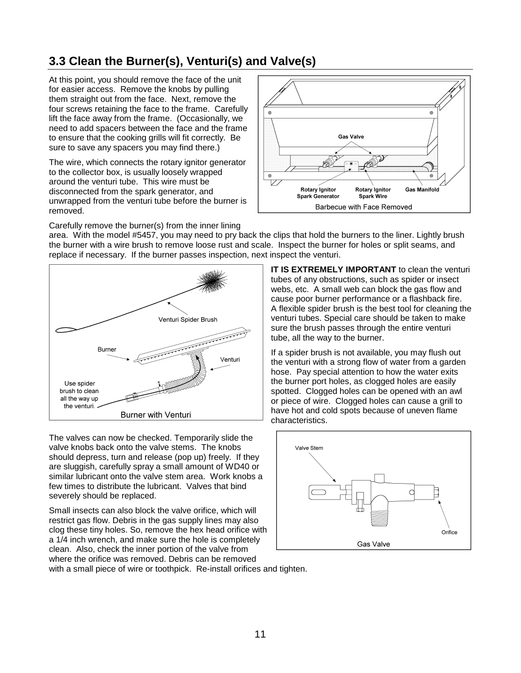## **3.3 Clean the Burner(s), Venturi(s) and Valve(s)**

At this point, you should remove the face of the unit for easier access. Remove the knobs by pulling them straight out from the face. Next, remove the four screws retaining the face to the frame. Carefully lift the face away from the frame. (Occasionally, we need to add spacers between the face and the frame to ensure that the cooking grills will fit correctly. Be sure to save any spacers you may find there.)

The wire, which connects the rotary ignitor generator to the collector box, is usually loosely wrapped around the venturi tube. This wire must be disconnected from the spark generator, and unwrapped from the venturi tube before the burner is removed.



Carefully remove the burner(s) from the inner lining

area. With the model #5457, you may need to pry back the clips that hold the burners to the liner. Lightly brush the burner with a wire brush to remove loose rust and scale. Inspect the burner for holes or split seams, and replace if necessary. If the burner passes inspection, next inspect the venturi.



The valves can now be checked. Temporarily slide the valve knobs back onto the valve stems. The knobs should depress, turn and release (pop up) freely. If they are sluggish, carefully spray a small amount of WD40 or similar lubricant onto the valve stem area. Work knobs a few times to distribute the lubricant. Valves that bind severely should be replaced.

Small insects can also block the valve orifice, which will restrict gas flow. Debris in the gas supply lines may also clog these tiny holes. So, remove the hex head orifice with a 1/4 inch wrench, and make sure the hole is completely clean. Also, check the inner portion of the valve from where the orifice was removed. Debris can be removed

**IT IS EXTREMELY IMPORTANT** to clean the venturi tubes of any obstructions, such as spider or insect webs, etc. A small web can block the gas flow and cause poor burner performance or a flashback fire. A flexible spider brush is the best tool for cleaning the venturi tubes. Special care should be taken to make sure the brush passes through the entire venturi tube, all the way to the burner.

If a spider brush is not available, you may flush out the venturi with a strong flow of water from a garden hose. Pay special attention to how the water exits the burner port holes, as clogged holes are easily spotted. Clogged holes can be opened with an awl or piece of wire. Clogged holes can cause a grill to have hot and cold spots because of uneven flame characteristics.



with a small piece of wire or toothpick. Re-install orifices and tighten.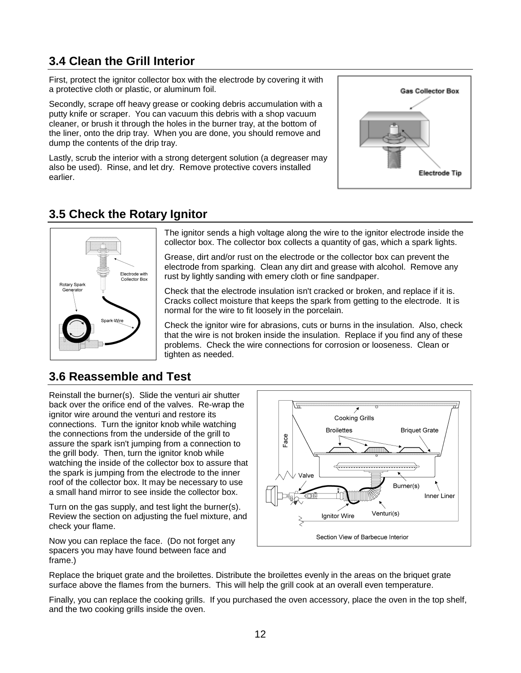## **3.4 Clean the Grill Interior**

First, protect the ignitor collector box with the electrode by covering it with a protective cloth or plastic, or aluminum foil.

Secondly, scrape off heavy grease or cooking debris accumulation with a putty knife or scraper. You can vacuum this debris with a shop vacuum cleaner, or brush it through the holes in the burner tray, at the bottom of the liner, onto the drip tray. When you are done, you should remove and dump the contents of the drip tray.

Lastly, scrub the interior with a strong detergent solution (a degreaser may also be used). Rinse, and let dry. Remove protective covers installed earlier.



### **3.5 Check the Rotary Ignitor**



The ignitor sends a high voltage along the wire to the ignitor electrode inside the collector box. The collector box collects a quantity of gas, which a spark lights.

Grease, dirt and/or rust on the electrode or the collector box can prevent the electrode from sparking. Clean any dirt and grease with alcohol. Remove any rust by lightly sanding with emery cloth or fine sandpaper.

Check that the electrode insulation isn't cracked or broken, and replace if it is. Cracks collect moisture that keeps the spark from getting to the electrode. It is normal for the wire to fit loosely in the porcelain.

Check the ignitor wire for abrasions, cuts or burns in the insulation. Also, check that the wire is not broken inside the insulation. Replace if you find any of these problems. Check the wire connections for corrosion or looseness. Clean or tighten as needed.

### **3.6 Reassemble and Test**

Reinstall the burner(s). Slide the venturi air shutter back over the orifice end of the valves. Re-wrap the ignitor wire around the venturi and restore its connections. Turn the ignitor knob while watching the connections from the underside of the grill to assure the spark isn't jumping from a connection to the grill body. Then, turn the ignitor knob while watching the inside of the collector box to assure that the spark is jumping from the electrode to the inner roof of the collector box. It may be necessary to use a small hand mirror to see inside the collector box.

Turn on the gas supply, and test light the burner(s). Review the section on adjusting the fuel mixture, and check your flame.

Now you can replace the face. (Do not forget any spacers you may have found between face and frame.)



Replace the briquet grate and the broilettes. Distribute the broilettes evenly in the areas on the briquet grate surface above the flames from the burners. This will help the grill cook at an overall even temperature.

Finally, you can replace the cooking grills. If you purchased the oven accessory, place the oven in the top shelf, and the two cooking grills inside the oven.